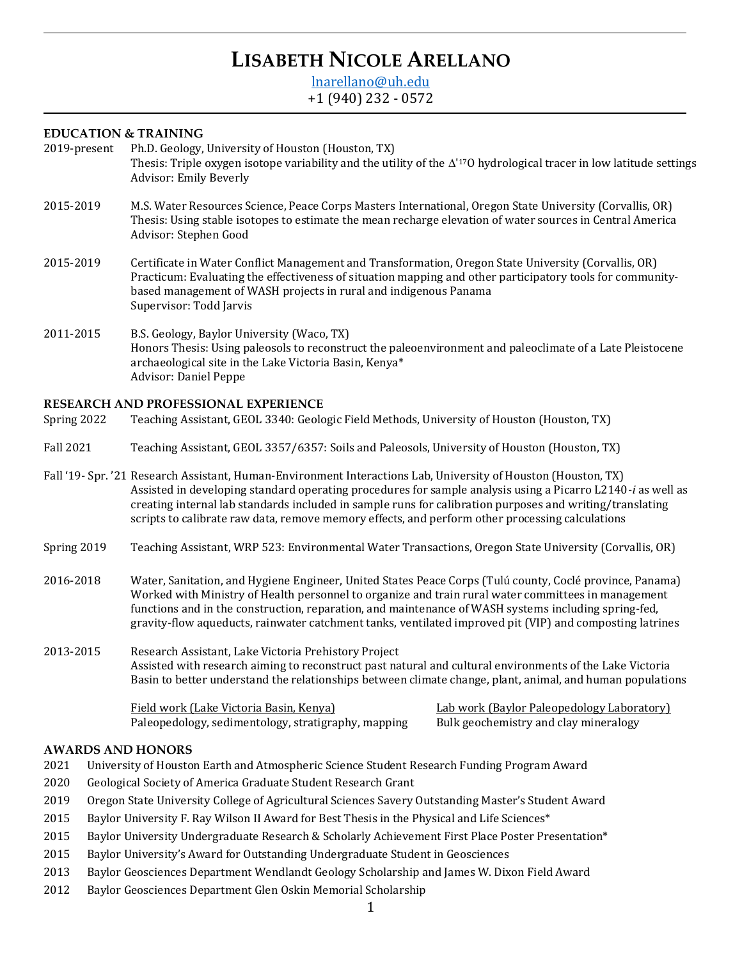# **LISABETH NICOLE ARELLANO**

[lnarellano@uh.edu](mailto:lnarellano@uh.edu) +1 (940) 232 - 0572

# **EDUCATION & TRAINING**

| 2019-present | Ph.D. Geology, University of Houston (Houston, TX)                                                                                                      |  |  |  |
|--------------|---------------------------------------------------------------------------------------------------------------------------------------------------------|--|--|--|
|              | Thesis: Triple oxygen isotope variability and the utility of the $\Delta^{17}$ O hydrological tracer in low latitude settings<br>Advisor: Emily Beverly |  |  |  |
| 2015-2019    | M.S. Water Resources Science, Peace Corps Masters International, Oregon State University (Corvallis, OR)                                                |  |  |  |

- 2015-2019 M.S. Water Resources Science, Peace Corps Masters International, Oregon State University (Corvallis, OR) Thesis: Using stable isotopes to estimate the mean recharge elevation of water sources in Central America Advisor: Stephen Good
- 2015-2019 Certificate in Water Conflict Management and Transformation, Oregon State University (Corvallis, OR) Practicum: Evaluating the effectiveness of situation mapping and other participatory tools for communitybased management of WASH projects in rural and indigenous Panama Supervisor: Todd Jarvis
- 2011-2015 B.S. Geology, Baylor University (Waco, TX) Honors Thesis: Using paleosols to reconstruct the paleoenvironment and paleoclimate of a Late Pleistocene archaeological site in the Lake Victoria Basin, Kenya\* Advisor: Daniel Peppe

# **RESEARCH AND PROFESSIONAL EXPERIENCE**

| Spring 2022 |  | Teaching Assistant, GEOL 3340: Geologic Field Methods, University of Houston (Houston, TX) |  |
|-------------|--|--------------------------------------------------------------------------------------------|--|
|             |  |                                                                                            |  |

- Fall 2021 Teaching Assistant, GEOL 3357/6357: Soils and Paleosols, University of Houston (Houston, TX)
- Fall '19- Spr. '21 Research Assistant, Human-Environment Interactions Lab, University of Houston (Houston, TX) Assisted in developing standard operating procedures for sample analysis using a Picarro L2140-*i* as well as creating internal lab standards included in sample runs for calibration purposes and writing/translating scripts to calibrate raw data, remove memory effects, and perform other processing calculations
- Spring 2019 Teaching Assistant, WRP 523: Environmental Water Transactions, Oregon State University (Corvallis, OR)
- 2016-2018 Water, Sanitation, and Hygiene Engineer, United States Peace Corps (Tulú county, Coclé province, Panama) Worked with Ministry of Health personnel to organize and train rural water committees in management functions and in the construction, reparation, and maintenance of WASH systems including spring-fed, gravity-flow aqueducts, rainwater catchment tanks, ventilated improved pit (VIP) and composting latrines
- 2013-2015 Research Assistant, Lake Victoria Prehistory Project Assisted with research aiming to reconstruct past natural and cultural environments of the Lake Victoria Basin to better understand the relationships between climate change, plant, animal, and human populations

Field work (Lake Victoria Basin, Kenya) Lab work (Baylor Paleopedology Laboratory) Paleopedology, sedimentology, stratigraphy, mapping Bulk geochemistry and clay mineralogy

## **AWARDS AND HONORS**

- 2021 University of Houston Earth and Atmospheric Science Student Research Funding Program Award
- 2020 Geological Society of America Graduate Student Research Grant
- 2019 Oregon State University College of Agricultural Sciences Savery Outstanding Master's Student Award
- 2015 Baylor University F. Ray Wilson II Award for Best Thesis in the Physical and Life Sciences\*
- 2015 Baylor University Undergraduate Research & Scholarly Achievement First Place Poster Presentation\*
- 2015 Baylor University's Award for Outstanding Undergraduate Student in Geosciences
- 2013 Baylor Geosciences Department Wendlandt Geology Scholarship and James W. Dixon Field Award
- 2012 Baylor Geosciences Department Glen Oskin Memorial Scholarship